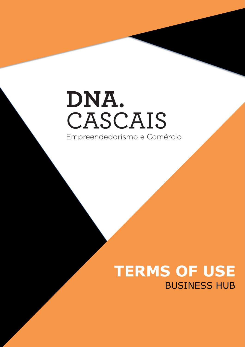## DNA. CASCAIS Empreendedorismo e Comércio

## **TERMS OF USE** BUSINESS HUB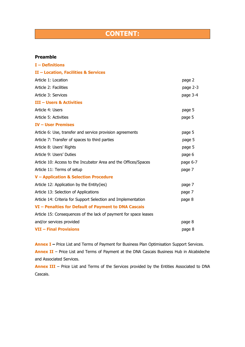## **CONTENT:**

#### **Preamble**

| <b>I-Definitions</b>                                             |          |
|------------------------------------------------------------------|----------|
| II - Location, Facilities & Services                             |          |
| Article 1: Location                                              | page 2   |
| Article 2: Facilities                                            | page 2-3 |
| Article 3: Services                                              | page 3-4 |
| <b>III - Users &amp; Activities</b>                              |          |
| Article 4: Users                                                 | page 5   |
| Article 5: Activities                                            | page 5   |
| <b>IV- User Premises</b>                                         |          |
| Article 6: Use, transfer and service provision agreements        | page 5   |
| Article 7: Transfer of spaces to third parties                   | page 5   |
| Article 8: Users' Rights                                         | page 5   |
| Article 9: Users' Duties                                         | page 6   |
| Article 10: Access to the Incubator Area and the Offices/Spaces  | page 6-7 |
| Article 11: Terms of setup                                       | page 7   |
| <b>V</b> - Application & Selection Procedure                     |          |
| Article 12: Application by the Entity(ies)                       | page 7   |
| Article 13: Selection of Applications                            | page 7   |
| Article 14: Criteria for Support Selection and Implementation    | page 8   |
| VI - Penalties for Default of Payment to DNA Cascais             |          |
| Article 15: Consequences of the lack of payment for space leases |          |
| and/or services provided                                         | page 8   |
| <b>VII - Final Provisions</b>                                    | page 8   |
|                                                                  |          |

**Annex I –** Price List and Terms of Payment for Business Plan Optimisation Support Services. **Annex II** – Price List and Terms of Payment at the DNA Cascais Business Hub in Alcabideche and Associated Services.

**Annex III** – Price List and Terms of the Services provided by the Entities Associated to DNA Cascais.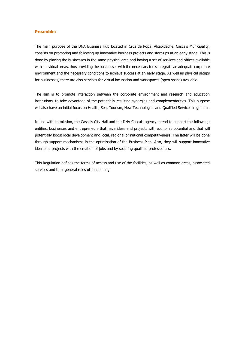#### **Preamble:**

The main purpose of the DNA Business Hub located in Cruz de Popa, Alcabideche, Cascais Municipality, consists on promoting and following up innovative business projects and start-ups at an early stage. This is done by placing the businesses in the same physical area and having a set of services and offices available with individual areas, thus providing the businesses with the necessary tools integrate an adequate corporate environment and the necessary conditions to achieve success at an early stage. As well as physical setups for businesses, there are also services for virtual incubation and workspaces (open space) available.

The aim is to promote interaction between the corporate environment and research and education institutions, to take advantage of the potentially resulting synergies and complementarities. This purpose will also have an initial focus on Health, Sea, Tourism, New Technologies and Qualified Services in general.

In line with its mission, the Cascais City Hall and the DNA Cascais agency intend to support the following: entities, businesses and entrepreneurs that have ideas and projects with economic potential and that will potentially boost local development and local, regional or national competitiveness. The latter will be done through support mechanisms in the optimisation of the Business Plan. Also, they will support innovative ideas and projects with the creation of jobs and by securing qualified professionals.

This Regulation defines the terms of access and use of the facilities, as well as common areas, associated services and their general rules of functioning.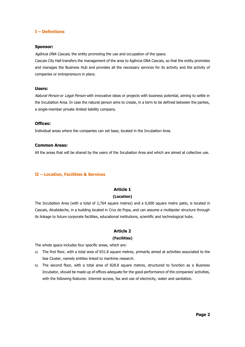#### **I – Definitions**

#### **Sponsor:**

Agência DNA Cascais, the entity promoting the use and occupation of the space.

Cascais City Hall transfers the management of the area to Agência DNA Cascais, so that the entity promotes and manages the Business Hub and provides all the necessary services for its activity and the activity of companies or entrepreneurs in place.

#### **Users:**

Natural Person or Legal Person with innovative ideas or projects with business potential, aiming to settle in the Incubation Area. In case the natural person aims to create, in a term to be defined between the parties, a single-member private limited liability company.

#### **Offices:**

Individual areas where the companies can set base, located in the Incubation Area.

#### **Common Areas:**

All the areas that will be shared by the users of the Incubation Area and which are aimed at collective use.

#### **II – Location, Facilities & Services**

#### **Article 1**

#### **(Location)**

The Incubation Area (with a total of 2,764 square metres) and a 6,000 square metre patio, is located in Cascais, Alcabideche, in a building located in Cruz de Popa, and can assume a multipolar structure through its linkage to future corporate facilities, educational institutions, scientific and technological hubs.

#### **Article 2**

#### **(Facilities)**

The whole space includes four specific areas, which are:

- a) The first floor, with a total area of 831.8 square metres, primarily aimed at activities associated to the Sea Cluster, namely entities linked to maritime research.
- b) The second floor, with a total area of 828.8 square metres, structured to function as a Business Incubator, should be made up of offices adequate for the good performance of the companies' activities, with the following features: Internet access, fax and use of electricity, water and sanitation.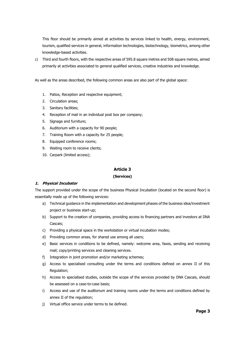This floor should be primarily aimed at activities by services linked to health, energy, environment, tourism, qualified services in general, information technologies, biotechnology, biometrics, among other knowledge-based activities.

c) Third and fourth floors, with the respective areas of 595.8 square metres and 508 square metres, aimed primarily at activities associated to general qualified services, creative industries and knowledge.

As well as the areas described, the following common areas are also part of the global space:

- 1. Patios, Reception and respective equipment;
- 2. Circulation areas;
- 3. Sanitary facilities;
- 4. Reception of mail in an individual post box per company;
- 5. Signage and furniture;
- 6. Auditorium with a capacity for 90 people;
- 7. Training Room with a capacity for 25 people;
- 8. Equipped conference rooms;
- 9. Waiting room to receive clients;
- 10. Carpark (limited access);

#### **Article 3**

#### **(Services)**

#### **1. Physical Incubator**

The support provided under the scope of the business Physical Incubation (located on the second floor) is essentially made up of the following services:

- a) Technical guidance in the implementation and development phases of the business idea/investment project or business start-up;
- b) Support to the creation of companies, providing access to financing partners and investors at DNA Cascais;
- c) Providing a physical space in the workstation or virtual incubation modes;
- d) Providing common areas, for shared use among all users;
- e) Basic services in conditions to be defined, namely: welcome area, faxes, sending and receiving mail; copy/printing services and cleaning services.
- f) Integration in joint promotion and/or marketing schemes;
- g) Access to specialised consulting under the terms and conditions defined on annex II of this Regulation;
- h) Access to specialised studies, outside the scope of the services provided by DNA Cascais, should be assessed on a case-to-case basis;
- i) Access and use of the auditorium and training rooms under the terms and conditions defined by annex II of the regulation;
- j) Virtual office service under terms to be defined.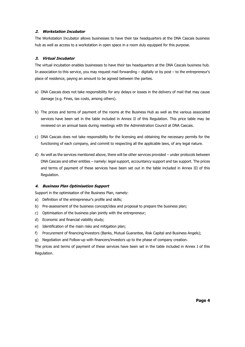#### **2. Workstation Incubator**

The Workstation Incubator allows businesses to have their tax headquarters at the DNA Cascais business hub as well as access to a workstation in open space in a room duly equipped for this purpose.

#### **3. Virtual Incubator**

The virtual incubation enables businesses to have their tax headquarters at the DNA Cascais business hub. In association to this service, you may request mail forwarding – digitally or by post – to the entrepreneur's place of residence, paying an amount to be agreed between the parties.

- a) DNA Cascais does not take responsibility for any delays or losses in the delivery of mail that may cause damage (e.g. Fines, tax costs, among others).
- b) The prices and terms of payment of the rooms at the Business Hub as well as the various associated services have been set in the table included in Annex II of this Regulation. This price table may be reviewed on an annual basis during meetings with the Administration Council at DNA Cascais.
- c) DNA Cascais does not take responsibility for the licensing and obtaining the necessary permits for the functioning of each company, and commit to respecting all the applicable laws, of any legal nature.
- d) As well as the services mentioned above, there will be other services provided under protocols between DNA Cascais and other entities – namely: legal support, accountancy support and tax support. The prices and terms of payment of these services have been set out in the table included in Annex III of this Regulation.

#### **4. Business Plan Optimisation Support**

Support in the optimisation of the Business Plan, namely:

- a) Definition of the entrepreneur's profile and skills;
- b) Pre-assessment of the business concept/idea and proposal to prepare the business plan;
- c) Optimisation of the business plan jointly with the entrepreneur;
- d) Economic and financial viability study;
- e) Identification of the main risks and mitigation plan;
- f) Procurement of financing/investors (Banks, Mutual Guarantee, Risk Capital and Business Angels);
- g) Negotiation and Follow-up with financers/investors up to the phase of company creation.

The prices and terms of payment of these services have been set in the table included in Annex I of this Regulation.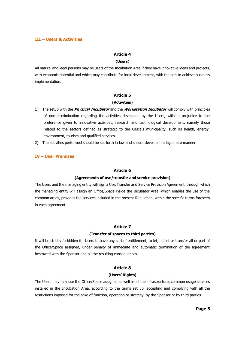#### **III – Users & Activities**

#### **Article 4**

#### **(Users)**

All natural and legal persons may be users of the Incubation Area if they have innovative ideas and projects, with economic potential and which may contribute for local development, with the aim to achieve business implementation.

#### **Article 5**

#### **(Activities)**

- 1) The setup with the **Physical Incubator** and the **Workstation Incubator** will comply with principles of non-discrimination regarding the activities developed by the Users, without prejudice to the preference given to innovative activities, research and technological development, namely those related to the sectors defined as strategic to the Cascais municipality, such as health, energy, environment, tourism and qualified services.
- 2) The activities performed should be set forth in law and should develop in a legitimate manner.

#### **IV – User Premises**

#### **Article 6**

#### **(Agreements of use/transfer and service provision)**

The Users and the managing entity will sign a Use/Transfer and Service Provision Agreement, through which the managing entity will assign an Office/Space inside the Incubator Area, which enables the use of the common areas, provides the services included in the present Regulation, within the specific terms foreseen in each agreement.

#### **Article 7**

#### **(Transfer of spaces to third parties)**

It will be strictly forbidden for Users to have any sort of entitlement, to let, sublet or transfer all or part of the Office/Space assigned, under penalty of immediate and automatic termination of the agreement bestowed with the Sponsor and all the resulting consequences.

#### **Article 8**

#### **(Users' Rights)**

The Users may fully use the Office/Space assigned as well as all the infrastructure, common usage services installed in the Incubation Area, according to the terms set up, accepting and complying with all the restrictions imposed for the sake of function, operation or strategy, by the Sponsor or by third parties.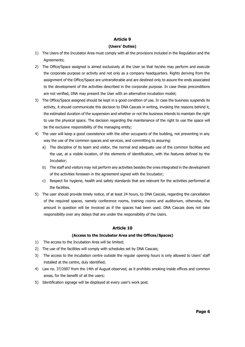#### **Article 9**

#### **(Users' Duties)**

- 1) The Users of the Incubator Area must comply with all the provisions included in the Regulation and the Agreements;
- 2) The Office/Space assigned is aimed exclusively at the User so that he/she may perform and execute the corporate purpose or activity and not only as a company headquarters. Rights deriving from the assignment of the Office/Space are untransferable and are destined only to assure the ends associated to the development of the activities described in the corporate purpose. In case these preconditions are not verified, DNA may present the User with an alternative incubation model;
- 3) The Office/Space assigned should be kept in a good condition of use. In case the business suspends its activity, it should communicate this decision to DNA Cascais in writing, invoking the reasons behind it, the estimated duration of the suspension and whether or not the business intends to maintain the right to use the physical space. The decision regarding the maintenance of the right to use the space will be the exclusive responsibility of the managing entity;
- 4) The user will keep a good coexistence with the other occupants of the building, not preventing in any way the use of the common spaces and services, and committing to assuring:
	- a) The discipline of its team and visitor, the normal and adequate use of the common facilities and the use, at a visible location, of the elements of identification, with the features defined by the Incubator;
	- b) The staff and visitors may not perform any activities besides the ones integrated in the development of the activities foreseen in the agreement signed with the Incubator;
	- c) Respect for hygiene, health and safety standards that are relevant for the activities performed at the facilities.
- 5) The user should provide timely notice, of at least 24 hours, to DNA Cascais, regarding the cancellation of the required spaces, namely conference rooms, training rooms and auditorium, otherwise, the amount in question will be invoiced as if the spaces had been used. DNA Cascais does not take responsibility over any delays that are under the responsibility of the Users.

#### **Article 10**

#### **(Access to the Incubator Area and the Offices/Spaces)**

- 1) The access to the Incubation Area will be limited;
- 2) The use of the facilities will comply with schedules set by DNA Cascais;
- 3) The access to the incubation centre outside the regular opening hours is only allowed to Users' staff installed at the centre, duly identified;
- 4) Law no. 37/2007 from the 14th of August observed, as it prohibits smoking inside offices and common areas, for the benefit of all the users;
- 5) Identification signage will be displayed at every user's work post.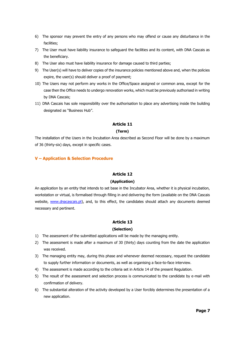- 6) The sponsor may prevent the entry of any persons who may offend or cause any disturbance in the facilities;
- 7) The User must have liability insurance to safeguard the facilities and its content, with DNA Cascais as the beneficiary.
- 8) The User also must have liability insurance for damage caused to third parties;
- 9) The User(s) will have to deliver copies of the insurance policies mentioned above and, when the policies expire, the user(s) should deliver a proof of payment;
- 10) The Users may not perform any works in the Office/Space assigned or common area, except for the case then the Office needs to undergo renovation works, which must be previously authorised in writing by DNA Cascais;
- 11) DNA Cascais has sole responsibility over the authorisation to place any advertising inside the building designated as "Business Hub".

#### **Article 11**

#### **(Term)**

The installation of the Users in the Incubation Area described as Second Floor will be done by a maximum of 36 (thirty-six) days, except in specific cases.

#### **V – Application & Selection Procedure**

#### **Article 12**

#### **(Application)**

An application by an entity that intends to set base in the Incubator Area, whether it is physical incubation, workstation or virtual, is formalised through filling in and delivering the form (available on the DNA Cascais website, [www.dnacascais.pt\)](http://www.dnacascais.pt/), and, to this effect, the candidates should attach any documents deemed necessary and pertinent.

#### **Article 13**

#### **(Selection)**

- 1) The assessment of the submitted applications will be made by the managing entity.
- 2) The assessment is made after a maximum of 30 (thirty) days counting from the date the application was received.
- 3) The managing entity may, during this phase and whenever deemed necessary, request the candidate to supply further information or documents, as well as organising a face-to-face interview.
- 4) The assessment is made according to the criteria set in Article 14 of the present Regulation.
- 5) The result of the assessment and selection process is communicated to the candidate by e-mail with confirmation of delivery.
- 6) The substantial alteration of the activity developed by a User forcibly determines the presentation of a new application.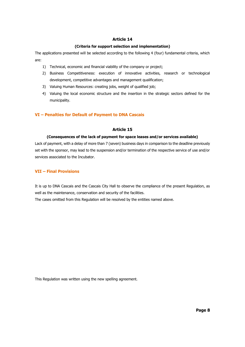#### **Article 14**

#### **(Criteria for support selection and implementation)**

The applications presented will be selected according to the following 4 (four) fundamental criteria, which are:

- 1) Technical, economic and financial viability of the company or project;
- 2) Business Competitiveness: execution of innovative activities, research or technological development, competitive advantages and management qualification;
- 3) Valuing Human Resources: creating jobs, weight of qualified job;
- 4) Valuing the local economic structure and the insertion in the strategic sectors defined for the municipality.

#### **VI – Penalties for Default of Payment to DNA Cascais**

#### **Article 15**

#### **(Consequences of the lack of payment for space leases and/or services available)**

Lack of payment, with a delay of more than 7 (seven) business days in comparison to the deadline previously set with the sponsor, may lead to the suspension and/or termination of the respective service of use and/or services associated to the Incubator.

#### **VII – Final Provisions**

It is up to DNA Cascais and the Cascais City Hall to observe the compliance of the present Regulation, as well as the maintenance, conservation and security of the facilities.

The cases omitted from this Regulation will be resolved by the entities named above.

This Regulation was written using the new spelling agreement.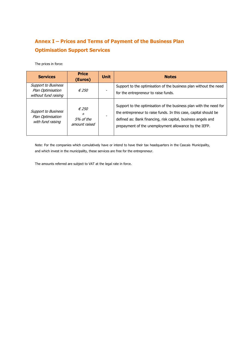## **Annex I – Prices and Terms of Payment of the Business Plan Optimisation Support Services**

The prices in force:

| <b>Services</b>                                                         | <b>Price</b><br>(Euros)                                    | <b>Unit</b> | <b>Notes</b>                                                                                                                                                                                                                                                     |
|-------------------------------------------------------------------------|------------------------------------------------------------|-------------|------------------------------------------------------------------------------------------------------------------------------------------------------------------------------------------------------------------------------------------------------------------|
| <b>Support to Business</b><br>Plan Optimisation<br>without fund raising | $\epsilon$ 250                                             |             | Support to the optimisation of the business plan without the need<br>for the entrepreneur to raise funds.                                                                                                                                                        |
| <b>Support to Business</b><br>Plan Optimisation<br>with fund raising    | $\epsilon$ 250<br>$\pmb{+}$<br>.5% of the<br>amount raised |             | Support to the optimisation of the business plan with the need for<br>the entrepreneur to raise funds. In this case, capital should be<br>defined as: Bank financing, risk capital, business angels and<br>prepayment of the unemployment allowance by the IEFP. |

Note: For the companies which cumulatively have or intend to have their tax headquarters in the Cascais Municipality, and which invest in the municipality, these services are free for the entrepreneur.

The amounts referred are subject to VAT at the legal rate in force.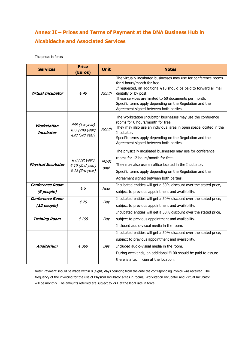### **Annex II – Prices and Terms of Payment at the DNA Business Hub in Alcabideche and Associated Services**

The prices in force:

| <b>Services</b>                       | <b>Price</b><br>(Euros)                                                         | <b>Unit</b>  | <b>Notes</b>                                                                                                                                                                                                                                                                                                                                                 |
|---------------------------------------|---------------------------------------------------------------------------------|--------------|--------------------------------------------------------------------------------------------------------------------------------------------------------------------------------------------------------------------------------------------------------------------------------------------------------------------------------------------------------------|
| Virtual Incubator                     | € 40                                                                            | Month        | The virtually incubated businesses may use for conference rooms<br>for 4 hours/month for free.<br>If requested, an additional €10 should be paid to forward all mail<br>digitally or by post.<br>These services are limited to 60 documents per month.<br>Specific terms apply depending on the Regulation and the<br>Agreement signed between both parties. |
| Workstation<br>Incubator              | $\epsilon$ 65 (1st year)<br>$E$ 75 (2nd year)<br>$€90$ (3rd year)               | Month        | The Workstation Incubator businesses may use the conference<br>rooms for 6 hours/month for free.<br>They may also use an individual area in open space located in the<br>Incubator.<br>Specific terms apply depending on the Regulation and the<br>Agreement signed between both parties.                                                                    |
| <b>Physical Incubator</b>             | $\epsilon$ 8 (1st year)<br>$\epsilon$ 10 (2nd year)<br>$\epsilon$ 12 (3rd year) | M2/M<br>onth | The physically incubated businesses may use for conference<br>rooms for 12 hours/month for free.<br>They may also use an office located in the Incubator.<br>Specific terms apply depending on the Regulation and the<br>Agreement signed between both parties.                                                                                              |
| <b>Conference Room</b><br>(6 people)  | $\epsilon$ 5                                                                    | Hour         | Incubated entities will get a 50% discount over the stated price,<br>subject to previous appointment and availability.                                                                                                                                                                                                                                       |
| <b>Conference Room</b><br>(12 people) | $\epsilon$ 75                                                                   | Day          | Incubated entities will get a 50% discount over the stated price,<br>subject to previous appointment and availability.                                                                                                                                                                                                                                       |
| <b>Training Room</b>                  | $\epsilon$ 150                                                                  | Day          | Incubated entities will get a 50% discount over the stated price,<br>subject to previous appointment and availability.<br>Included audio-visual media in the room.                                                                                                                                                                                           |
| Auditorium                            | €300                                                                            | Day          | Incubated entities will get a 50% discount over the stated price,<br>subject to previous appointment and availability.<br>Included audio-visual media in the room.<br>During weekends, an additional €100 should be paid to assure<br>there is a technician at the location.                                                                                 |

Note: Payment should be made within 8 (eight) days counting from the date the corresponding invoice was received. The frequency of the invoicing for the use of Physical Incubator areas in rooms, Workstation Incubator and Virtual Incubator will be monthly. The amounts referred are subject to VAT at the legal rate in force.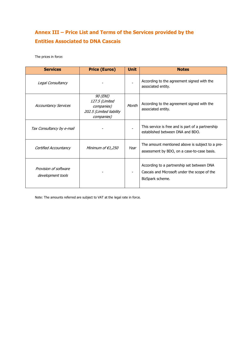### **Annex III – Price List and Terms of the Services provided by the Entities Associated to DNA Cascais**

The prices in force:

| <b>Services</b>                            | <b>Price (Euros)</b>                                                               | <b>Unit</b> | <b>Notes</b>                                                                                                   |
|--------------------------------------------|------------------------------------------------------------------------------------|-------------|----------------------------------------------------------------------------------------------------------------|
| Legal Consultancy                          |                                                                                    |             | According to the agreement signed with the<br>associated entity.                                               |
| <b>Accountancy Services</b>                | 90 (ENI)<br>127.5 (Limited<br>companies)<br>202.5 (Limited liability<br>companies) | Month       | According to the agreement signed with the<br>associated entity.                                               |
| Tax Consultancy by e-mail                  |                                                                                    |             | This service is free and is part of a partnership<br>established between DNA and BDO.                          |
| Certified Accountancy                      | Minimum of $€1,250$                                                                | Year        | The amount mentioned above is subject to a pre-<br>assessment by BDO, on a case-to-case basis.                 |
| Provision of software<br>development tools |                                                                                    |             | According to a partnership set between DNA<br>Cascais and Microsoft under the scope of the<br>BizSpark scheme. |

Note: The amounts referred are subject to VAT at the legal rate in force.